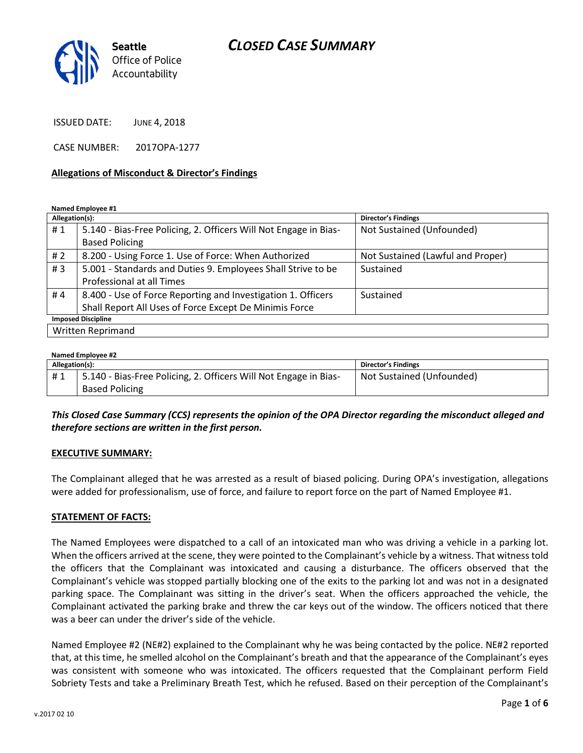# *CLOSED CASE SUMMARY*



ISSUED DATE: JUNE 4, 2018

CASE NUMBER: 2017OPA-1277

#### **Allegations of Misconduct & Director's Findings**

**Named Employee #1**

| Allegation(s): |                                                                  | <b>Director's Findings</b>        |
|----------------|------------------------------------------------------------------|-----------------------------------|
| #1             | 5.140 - Bias-Free Policing, 2. Officers Will Not Engage in Bias- | Not Sustained (Unfounded)         |
|                | <b>Based Policing</b>                                            |                                   |
| # $2$          | 8.200 - Using Force 1. Use of Force: When Authorized             | Not Sustained (Lawful and Proper) |
| #3             | 5.001 - Standards and Duties 9. Employees Shall Strive to be     | Sustained                         |
|                | Professional at all Times                                        |                                   |
| #4             | 8.400 - Use of Force Reporting and Investigation 1. Officers     | Sustained                         |
|                | Shall Report All Uses of Force Except De Minimis Force           |                                   |
|                | <b>Imposed Discipline</b>                                        |                                   |
|                | Written Reprimand                                                |                                   |

#### **Named Employee #2**

| Allegation(s): |                                                                  | <b>Director's Findings</b> |
|----------------|------------------------------------------------------------------|----------------------------|
| #1             | 5.140 - Bias-Free Policing, 2. Officers Will Not Engage in Bias- | Not Sustained (Unfounded)  |
|                | <b>Based Policing</b>                                            |                            |

*This Closed Case Summary (CCS) represents the opinion of the OPA Director regarding the misconduct alleged and therefore sections are written in the first person.* 

#### **EXECUTIVE SUMMARY:**

The Complainant alleged that he was arrested as a result of biased policing. During OPA's investigation, allegations were added for professionalism, use of force, and failure to report force on the part of Named Employee #1.

#### **STATEMENT OF FACTS:**

The Named Employees were dispatched to a call of an intoxicated man who was driving a vehicle in a parking lot. When the officers arrived at the scene, they were pointed to the Complainant's vehicle by a witness. That witness told the officers that the Complainant was intoxicated and causing a disturbance. The officers observed that the Complainant's vehicle was stopped partially blocking one of the exits to the parking lot and was not in a designated parking space. The Complainant was sitting in the driver's seat. When the officers approached the vehicle, the Complainant activated the parking brake and threw the car keys out of the window. The officers noticed that there was a beer can under the driver's side of the vehicle.

Named Employee #2 (NE#2) explained to the Complainant why he was being contacted by the police. NE#2 reported that, at this time, he smelled alcohol on the Complainant's breath and that the appearance of the Complainant's eyes was consistent with someone who was intoxicated. The officers requested that the Complainant perform Field Sobriety Tests and take a Preliminary Breath Test, which he refused. Based on their perception of the Complainant's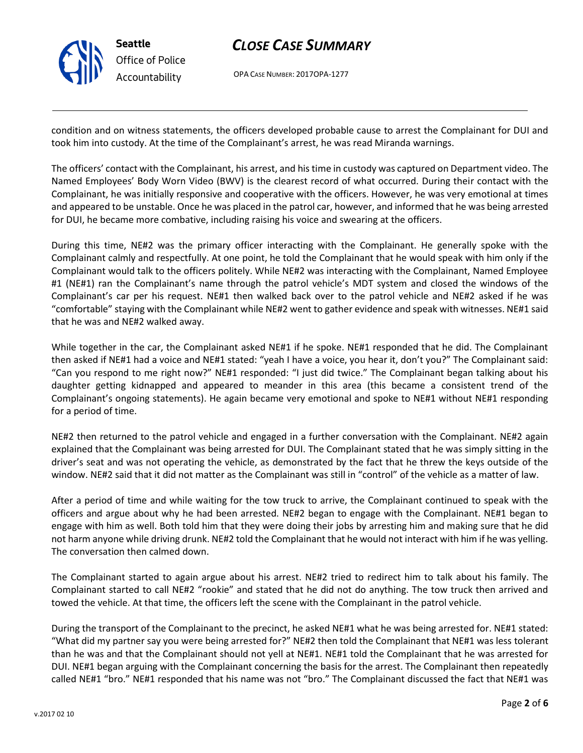

# *CLOSE CASE SUMMARY*

OPA CASE NUMBER: 2017OPA-1277

condition and on witness statements, the officers developed probable cause to arrest the Complainant for DUI and took him into custody. At the time of the Complainant's arrest, he was read Miranda warnings.

The officers' contact with the Complainant, his arrest, and his time in custody was captured on Department video. The Named Employees' Body Worn Video (BWV) is the clearest record of what occurred. During their contact with the Complainant, he was initially responsive and cooperative with the officers. However, he was very emotional at times and appeared to be unstable. Once he was placed in the patrol car, however, and informed that he was being arrested for DUI, he became more combative, including raising his voice and swearing at the officers.

During this time, NE#2 was the primary officer interacting with the Complainant. He generally spoke with the Complainant calmly and respectfully. At one point, he told the Complainant that he would speak with him only if the Complainant would talk to the officers politely. While NE#2 was interacting with the Complainant, Named Employee #1 (NE#1) ran the Complainant's name through the patrol vehicle's MDT system and closed the windows of the Complainant's car per his request. NE#1 then walked back over to the patrol vehicle and NE#2 asked if he was "comfortable" staying with the Complainant while NE#2 went to gather evidence and speak with witnesses. NE#1 said that he was and NE#2 walked away.

While together in the car, the Complainant asked NE#1 if he spoke. NE#1 responded that he did. The Complainant then asked if NE#1 had a voice and NE#1 stated: "yeah I have a voice, you hear it, don't you?" The Complainant said: "Can you respond to me right now?" NE#1 responded: "I just did twice." The Complainant began talking about his daughter getting kidnapped and appeared to meander in this area (this became a consistent trend of the Complainant's ongoing statements). He again became very emotional and spoke to NE#1 without NE#1 responding for a period of time.

NE#2 then returned to the patrol vehicle and engaged in a further conversation with the Complainant. NE#2 again explained that the Complainant was being arrested for DUI. The Complainant stated that he was simply sitting in the driver's seat and was not operating the vehicle, as demonstrated by the fact that he threw the keys outside of the window. NE#2 said that it did not matter as the Complainant was still in "control" of the vehicle as a matter of law.

After a period of time and while waiting for the tow truck to arrive, the Complainant continued to speak with the officers and argue about why he had been arrested. NE#2 began to engage with the Complainant. NE#1 began to engage with him as well. Both told him that they were doing their jobs by arresting him and making sure that he did not harm anyone while driving drunk. NE#2 told the Complainant that he would not interact with him if he was yelling. The conversation then calmed down.

The Complainant started to again argue about his arrest. NE#2 tried to redirect him to talk about his family. The Complainant started to call NE#2 "rookie" and stated that he did not do anything. The tow truck then arrived and towed the vehicle. At that time, the officers left the scene with the Complainant in the patrol vehicle.

During the transport of the Complainant to the precinct, he asked NE#1 what he was being arrested for. NE#1 stated: "What did my partner say you were being arrested for?" NE#2 then told the Complainant that NE#1 was less tolerant than he was and that the Complainant should not yell at NE#1. NE#1 told the Complainant that he was arrested for DUI. NE#1 began arguing with the Complainant concerning the basis for the arrest. The Complainant then repeatedly called NE#1 "bro." NE#1 responded that his name was not "bro." The Complainant discussed the fact that NE#1 was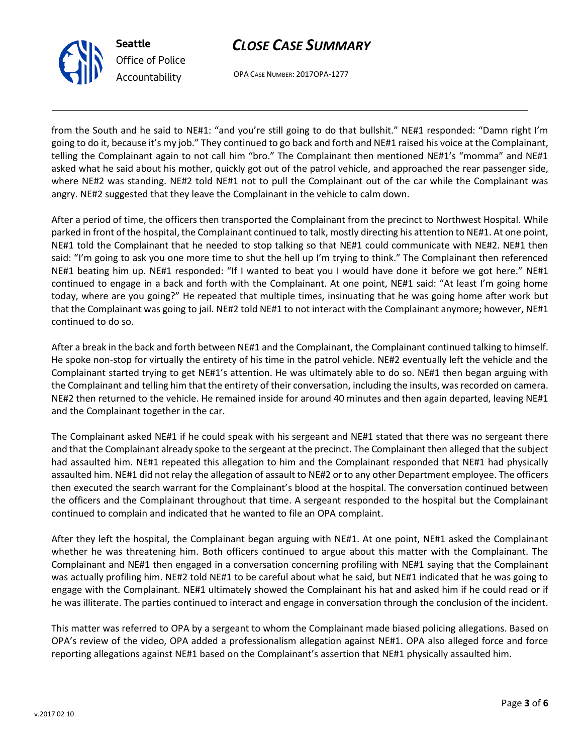



OPA CASE NUMBER: 2017OPA-1277

from the South and he said to NE#1: "and you're still going to do that bullshit." NE#1 responded: "Damn right I'm going to do it, because it's my job." They continued to go back and forth and NE#1 raised his voice at the Complainant, telling the Complainant again to not call him "bro." The Complainant then mentioned NE#1's "momma" and NE#1 asked what he said about his mother, quickly got out of the patrol vehicle, and approached the rear passenger side, where NE#2 was standing. NE#2 told NE#1 not to pull the Complainant out of the car while the Complainant was angry. NE#2 suggested that they leave the Complainant in the vehicle to calm down.

After a period of time, the officers then transported the Complainant from the precinct to Northwest Hospital. While parked in front of the hospital, the Complainant continued to talk, mostly directing his attention to NE#1. At one point, NE#1 told the Complainant that he needed to stop talking so that NE#1 could communicate with NE#2. NE#1 then said: "I'm going to ask you one more time to shut the hell up I'm trying to think." The Complainant then referenced NE#1 beating him up. NE#1 responded: "If I wanted to beat you I would have done it before we got here." NE#1 continued to engage in a back and forth with the Complainant. At one point, NE#1 said: "At least I'm going home today, where are you going?" He repeated that multiple times, insinuating that he was going home after work but that the Complainant was going to jail. NE#2 told NE#1 to not interact with the Complainant anymore; however, NE#1 continued to do so.

After a break in the back and forth between NE#1 and the Complainant, the Complainant continued talking to himself. He spoke non-stop for virtually the entirety of his time in the patrol vehicle. NE#2 eventually left the vehicle and the Complainant started trying to get NE#1's attention. He was ultimately able to do so. NE#1 then began arguing with the Complainant and telling him that the entirety of their conversation, including the insults, was recorded on camera. NE#2 then returned to the vehicle. He remained inside for around 40 minutes and then again departed, leaving NE#1 and the Complainant together in the car.

The Complainant asked NE#1 if he could speak with his sergeant and NE#1 stated that there was no sergeant there and that the Complainant already spoke to the sergeant at the precinct. The Complainant then alleged that the subject had assaulted him. NE#1 repeated this allegation to him and the Complainant responded that NE#1 had physically assaulted him. NE#1 did not relay the allegation of assault to NE#2 or to any other Department employee. The officers then executed the search warrant for the Complainant's blood at the hospital. The conversation continued between the officers and the Complainant throughout that time. A sergeant responded to the hospital but the Complainant continued to complain and indicated that he wanted to file an OPA complaint.

After they left the hospital, the Complainant began arguing with NE#1. At one point, NE#1 asked the Complainant whether he was threatening him. Both officers continued to argue about this matter with the Complainant. The Complainant and NE#1 then engaged in a conversation concerning profiling with NE#1 saying that the Complainant was actually profiling him. NE#2 told NE#1 to be careful about what he said, but NE#1 indicated that he was going to engage with the Complainant. NE#1 ultimately showed the Complainant his hat and asked him if he could read or if he was illiterate. The parties continued to interact and engage in conversation through the conclusion of the incident.

This matter was referred to OPA by a sergeant to whom the Complainant made biased policing allegations. Based on OPA's review of the video, OPA added a professionalism allegation against NE#1. OPA also alleged force and force reporting allegations against NE#1 based on the Complainant's assertion that NE#1 physically assaulted him.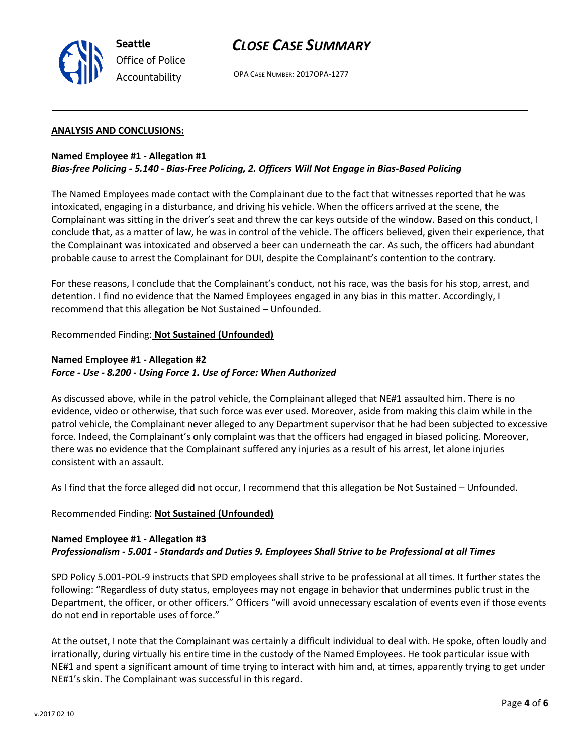

## *CLOSE CASE SUMMARY*

OPA CASE NUMBER: 2017OPA-1277

#### **ANALYSIS AND CONCLUSIONS:**

#### **Named Employee #1 - Allegation #1** *Bias-free Policing - 5.140 - Bias-Free Policing, 2. Officers Will Not Engage in Bias-Based Policing*

The Named Employees made contact with the Complainant due to the fact that witnesses reported that he was intoxicated, engaging in a disturbance, and driving his vehicle. When the officers arrived at the scene, the Complainant was sitting in the driver's seat and threw the car keys outside of the window. Based on this conduct, I conclude that, as a matter of law, he was in control of the vehicle. The officers believed, given their experience, that the Complainant was intoxicated and observed a beer can underneath the car. As such, the officers had abundant probable cause to arrest the Complainant for DUI, despite the Complainant's contention to the contrary.

For these reasons, I conclude that the Complainant's conduct, not his race, was the basis for his stop, arrest, and detention. I find no evidence that the Named Employees engaged in any bias in this matter. Accordingly, I recommend that this allegation be Not Sustained – Unfounded.

#### Recommended Finding: **Not Sustained (Unfounded)**

#### **Named Employee #1 - Allegation #2** *Force - Use - 8.200 - Using Force 1. Use of Force: When Authorized*

As discussed above, while in the patrol vehicle, the Complainant alleged that NE#1 assaulted him. There is no evidence, video or otherwise, that such force was ever used. Moreover, aside from making this claim while in the patrol vehicle, the Complainant never alleged to any Department supervisor that he had been subjected to excessive force. Indeed, the Complainant's only complaint was that the officers had engaged in biased policing. Moreover, there was no evidence that the Complainant suffered any injuries as a result of his arrest, let alone injuries consistent with an assault.

As I find that the force alleged did not occur, I recommend that this allegation be Not Sustained – Unfounded.

#### Recommended Finding: **Not Sustained (Unfounded)**

### **Named Employee #1 - Allegation #3** *Professionalism - 5.001 - Standards and Duties 9. Employees Shall Strive to be Professional at all Times*

SPD Policy 5.001-POL-9 instructs that SPD employees shall strive to be professional at all times. It further states the following: "Regardless of duty status, employees may not engage in behavior that undermines public trust in the Department, the officer, or other officers." Officers "will avoid unnecessary escalation of events even if those events do not end in reportable uses of force."

At the outset, I note that the Complainant was certainly a difficult individual to deal with. He spoke, often loudly and irrationally, during virtually his entire time in the custody of the Named Employees. He took particular issue with NE#1 and spent a significant amount of time trying to interact with him and, at times, apparently trying to get under NE#1's skin. The Complainant was successful in this regard.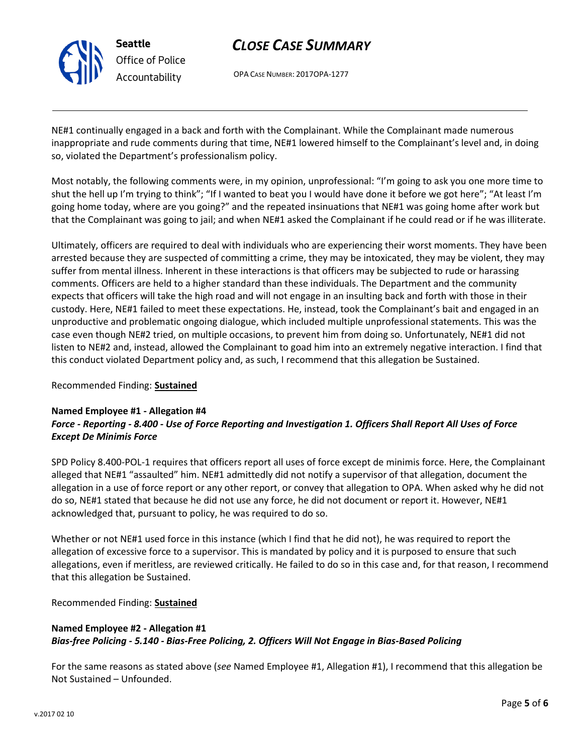

# *CLOSE CASE SUMMARY*

OPA CASE NUMBER: 2017OPA-1277

NE#1 continually engaged in a back and forth with the Complainant. While the Complainant made numerous inappropriate and rude comments during that time, NE#1 lowered himself to the Complainant's level and, in doing so, violated the Department's professionalism policy.

Most notably, the following comments were, in my opinion, unprofessional: "I'm going to ask you one more time to shut the hell up I'm trying to think"; "If I wanted to beat you I would have done it before we got here"; "At least I'm going home today, where are you going?" and the repeated insinuations that NE#1 was going home after work but that the Complainant was going to jail; and when NE#1 asked the Complainant if he could read or if he was illiterate.

Ultimately, officers are required to deal with individuals who are experiencing their worst moments. They have been arrested because they are suspected of committing a crime, they may be intoxicated, they may be violent, they may suffer from mental illness. Inherent in these interactions is that officers may be subjected to rude or harassing comments. Officers are held to a higher standard than these individuals. The Department and the community expects that officers will take the high road and will not engage in an insulting back and forth with those in their custody. Here, NE#1 failed to meet these expectations. He, instead, took the Complainant's bait and engaged in an unproductive and problematic ongoing dialogue, which included multiple unprofessional statements. This was the case even though NE#2 tried, on multiple occasions, to prevent him from doing so. Unfortunately, NE#1 did not listen to NE#2 and, instead, allowed the Complainant to goad him into an extremely negative interaction. I find that this conduct violated Department policy and, as such, I recommend that this allegation be Sustained.

#### Recommended Finding: **Sustained**

### **Named Employee #1 - Allegation #4** *Force - Reporting - 8.400 - Use of Force Reporting and Investigation 1. Officers Shall Report All Uses of Force Except De Minimis Force*

SPD Policy 8.400-POL-1 requires that officers report all uses of force except de minimis force. Here, the Complainant alleged that NE#1 "assaulted" him. NE#1 admittedly did not notify a supervisor of that allegation, document the allegation in a use of force report or any other report, or convey that allegation to OPA. When asked why he did not do so, NE#1 stated that because he did not use any force, he did not document or report it. However, NE#1 acknowledged that, pursuant to policy, he was required to do so.

Whether or not NE#1 used force in this instance (which I find that he did not), he was required to report the allegation of excessive force to a supervisor. This is mandated by policy and it is purposed to ensure that such allegations, even if meritless, are reviewed critically. He failed to do so in this case and, for that reason, I recommend that this allegation be Sustained.

Recommended Finding: **Sustained**

### **Named Employee #2 - Allegation #1** *Bias-free Policing - 5.140 - Bias-Free Policing, 2. Officers Will Not Engage in Bias-Based Policing*

For the same reasons as stated above (*see* Named Employee #1, Allegation #1), I recommend that this allegation be Not Sustained – Unfounded.